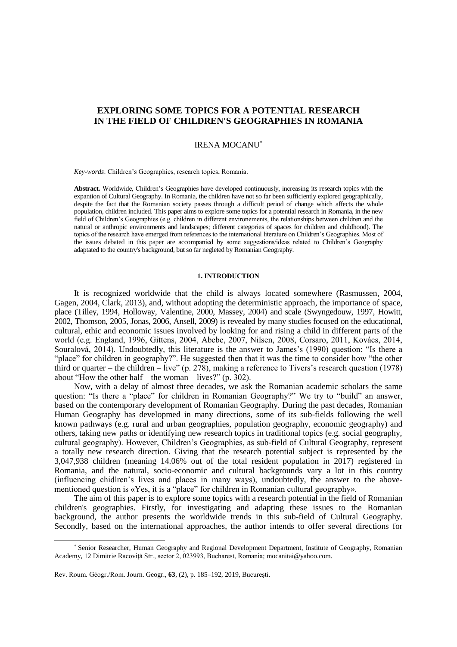# **EXPLORING SOME TOPICS FOR A POTENTIAL RESEARCH IN THE FIELD OF CHILDREN'S GEOGRAPHIES IN ROMANIA**

# IRENA MOCANU

*Key-words*: Children's Geographies, research topics, Romania.

**Abstract.** Worldwide, Children's Geographies have developed continuously, increasing its research topics with the expantion of Cultural Geography. In Romania, the children have not so far been sufficiently explored geographically, despite the fact that the Romanian society passes through a difficult period of change which affects the whole population, children included. This paper aims to explore some topics for a potential research in Romania, in the new field of Children's Geographies (e.g. children in different environements, the relationships between children and the natural or anthropic environments and landscapes; different categories of spaces for children and childhood). The topics of the research have emerged from references to the international literature on Children's Geographies. Most of the issues debated in this paper are accompanied by some suggestions/ideas related to Children's Geography adaptated to the country's background, but so far negleted by Romanian Geography.

## **1. INTRODUCTION**

It is recognized worldwide that the child is always located somewhere (Rasmussen, 2004, Gagen, 2004, Clark, 2013), and, without adopting the deterministic approach, the importance of space, place (Tilley, 1994, Holloway, Valentine, 2000, Massey, 2004) and scale (Swyngedouw, 1997, Howitt, 2002, Thomson, 2005, Jonas, 2006, Ansell, 2009) is revealed by many studies focused on the educational, cultural, ethic and economic issues involved by looking for and rising a child in different parts of the world (e.g. England, 1996, Gittens, 2004, Abebe, 2007, Nilsen, 2008, Corsaro, 2011, Kovács, 2014, Souralová, 2014). Undoubtedly, this literature is the answer to James's (1990) question: "Is there a "place" for children in geography?". He suggested then that it was the time to consider how "the other third or quarter – the children – live" (p. 278), making a reference to Tivers's research question (1978) about "How the other half – the woman – lives?" (p. 302).

Now, with a delay of almost three decades, we ask the Romanian academic scholars the same question: "Is there a "place" for children in Romanian Geography?" We try to "build" an answer, based on the contemporary development of Romanian Geography. During the past decades, Romanian Human Geography has developmed in many directions, some of its sub-fields following the well known pathways (e.g. rural and urban geographies, population geography, economic geography) and others, taking new paths or identifying new research topics in traditional topics (e.g. social geography, cultural geography). However, Children's Geographies, as sub-field of Cultural Geography, represent a totally new research direction. Giving that the research potential subject is represented by the 3,047,938 children (meaning 14.06% out of the total resident population in 2017) registered in Romania, and the natural, socio-economic and cultural backgrounds vary a lot in this country (influencing chidlren's lives and places in many ways), undoubtedly, the answer to the abovementioned question is «Yes, it is a "place" for children in Romanian cultural geography».

The aim of this paper is to explore some topics with a research potential in the field of Romanian children's geographies. Firstly, for investigating and adapting these issues to the Romanian background, the author presents the worldwide trends in this sub-field of Cultural Geography. Secondly, based on the international approaches, the author intends to offer several directions for

 $\overline{a}$ 

Senior Researcher, Human Geography and Regional Development Department, Institute of Geography, Romanian Academy, 12 Dimitrie Racoviţă Str., sector 2, 023993, Bucharest, Romania; [mocanitai@yahoo.com.](mailto:mocanitai@yahoo.com)

Rev. Roum. Géogr./Rom. Journ. Geogr., **63**, (2), p. 185–192, 2019, Bucureşti.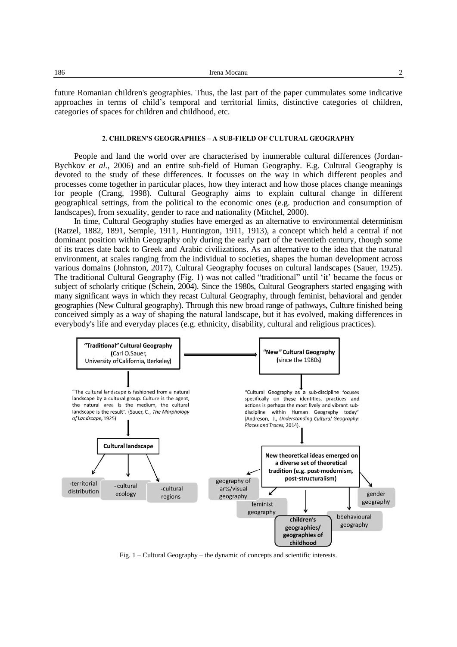future Romanian children's geographies. Thus, the last part of the paper cummulates some indicative approaches in terms of child's temporal and territorial limits, distinctive categories of children, categories of spaces for children and childhood, etc.

# **2. CHILDREN'S GEOGRAPHIES – A SUB-FIELD OF CULTURAL GEOGRAPHY**

People and land the world over are characterised by inumerable cultural differences (Jordan-Bychkov *et al.*, 2006) and an entire sub-field of Human Geography. E.g. Cultural Geography is devoted to the study of these differences. It focusses on the way in which different peoples and processes come together in particular places, how they interact and how those places change meanings for people (Crang, 1998). Cultural Geography aims to explain cultural change in different geographical settings, from the political to the economic ones (e.g. production and consumption of landscapes), from sexuality, gender to race and nationality (Mitchel, 2000).

In time, Cultural Geography studies have emerged as an alternative to environmental determinism (Ratzel, 1882, 1891, Semple, 1911*,* Huntington, 1911, 1913), a concept which held a central if not dominant position within Geography only during the early part of the twentieth century, though some of its traces date back to Greek and Arabic civilizations. As an alternative to the idea that the natural environment, at scales ranging from the individual to societies, shapes the human development across various domains (Johnston, 2017), Cultural Geography focuses on cultural landscapes (Sauer, 1925). The traditional Cultural Geography (Fig. 1) was not called "traditional" until 'it' became the focus or subject of scholarly critique (Schein, 2004). Since the 1980s, Cultural Geographers started engaging with many significant ways in which they recast Cultural Geography, through feminist, behavioral and gender geographies (New Cultural geography). Through this new broad range of pathways, Culture finished being conceived simply as a way of shaping the natural landscape, but it has evolved, making differences in everybody's life and everyday places (e.g. ethnicity, disability, cultural and religious practices).



Fig. 1 – Cultural Geography – the dynamic of concepts and scientific interests.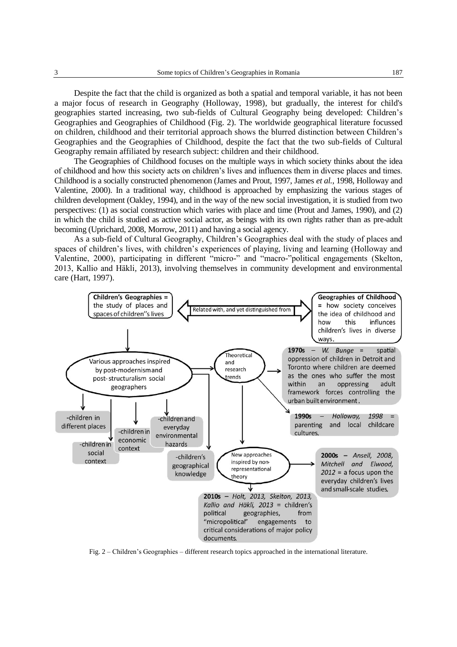Despite the fact that the child is organized as both a spatial and temporal variable, it has not been a major focus of research in Geography (Holloway, 1998), but gradually, the interest for child's geographies started increasing, two sub-fields of Cultural Geography being developed: Children's Geographies and Geographies of Childhood (Fig. 2). The worldwide geographical literature focussed on children, childhood and their territorial approach shows the blurred distinction between Children's Geographies and the Geographies of Childhood, despite the fact that the two sub-fields of Cultural Geography remain affiliated by research subject: children and their childhood.

The Geographies of Childhood focuses on the multiple ways in which society thinks about the idea of childhood and how this society acts on children's lives and influences them in diverse places and times. Childhood is a socially constructed phenomenon (James and Prout, 1997, James *et al.*, 1998, Holloway and Valentine, 2000). In a traditional way, childhood is approached by emphasizing the various stages of children development (Oakley, 1994), and in the way of the new social investigation, it is studied from two perspectives: (1) as social construction which varies with place and time (Prout and James, 1990), and (2) in which the child is studied as active social actor, as beings with its own rights rather than as pre-adult becoming (Uprichard, 2008, Morrow, 2011) and having a social agency.

As a sub-field of Cultural Geography, Children's Geographies deal with the study of places and spaces of children's lives, with children's experiences of playing, living and learning (Holloway and Valentine, 2000), participating in different "micro-" and "macro-"political engagements (Skelton*,* 2013, Kallio and Häkli*,* 2013), involving themselves in community development and environmental care (Hart, 1997).



Fig. 2 – Children's Geographies – different research topics approached in the international literature.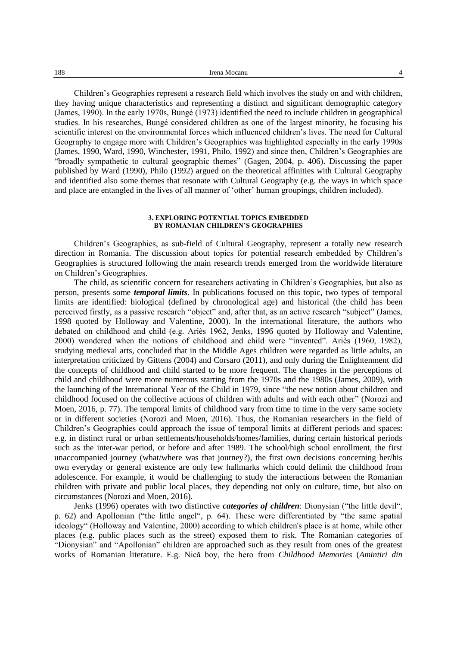Children's Geographies represent a research field which involves the study on and with children, they having unique characteristics and representing a distinct and significant demographic category (James, 1990). In the early 1970s, Bungé (1973) identified the need to include children in geographical studies. In his researches, Bungé considered children as one of the largest minority, he focusing his scientific interest on the environmental forces which influenced children's lives. The need for Cultural Geography to engage more with Children's Geographies was highlighted especially in the early 1990s (James, 1990, Ward, 1990, Winchester, 1991, Philo, 1992) and since then, Children's Geographies are "broadly sympathetic to cultural geographic themes" (Gagen, 2004, p. 406). Discussing the paper published by Ward (1990), Philo (1992) argued on the theoretical affinities with Cultural Geography and identified also some themes that resonate with Cultural Geography (e.g. the ways in which space and place are entangled in the lives of all manner of 'other' human groupings, children included).

### **3. EXPLORING POTENTIAL TOPICS EMBEDDED BY ROMANIAN CHILDREN'S GEOGRAPHIES**

Children's Geographies, as sub-field of Cultural Geography, represent a totally new research direction in Romania. The discussion about topics for potential research embedded by Children's Geographies is structured following the main research trends emerged from the worldwide literature on Children's Geographies.

The child, as scientific concern for researchers activating in Children's Geographies, but also as person, presents some *temporal limits*. In publications focused on this topic, two types of temporal limits are identified: biological (defined by chronological age) and historical (the child has been perceived firstly, as a passive research "object" and, after that, as an active research "subject" (James, 1998 quoted by Holloway and Valentine, 2000). In the international literature, the authors who debated on childhood and child (e.g. Ariès 1962, Jenks, 1996 quoted by Holloway and Valentine, 2000) wondered when the notions of childhood and child were "invented". Ariès (1960, 1982), studying medieval arts, concluded that in the Middle Ages children were regarded as little adults, an interpretation criticized by Gittens (2004) and Corsaro (2011), and only during the Enlightenment did the concepts of childhood and child started to be more frequent. The changes in the perceptions of child and childhood were more numerous starting from the 1970s and the 1980s (James, 2009), with the launching of the International Year of the Child in 1979, since "the new notion about children and childhood focused on the collective actions of children with adults and with each other" (Norozi and Moen, 2016, p. 77). The temporal limits of childhood vary from time to time in the very same society or in different societies (Norozi and Moen, 2016). Thus, the Romanian researchers in the field of Children's Geographies could approach the issue of temporal limits at different periods and spaces: e.g. in distinct rural or urban settlements/households/homes/families, during certain historical periods such as the inter-war period, or before and after 1989. The school/high school enrollment, the first unaccompanied journey (what/where was that journey?), the first own decisions concerning her/his own everyday or general existence are only few hallmarks which could delimit the childhood from adolescence. For example, it would be challenging to study the interactions between the Romanian children with private and public local places, they depending not only on culture, time, but also on circumstances (Norozi and Moen, 2016).

Jenks (1996) operates with two distinctive *categories of children*: Dionysian ("the little devil", p. 62) and Apollonian ("the little angel", p. 64). These were differentiated by "the same spatial ideology" (Holloway and Valentine, 2000) according to which children's place is at home, while other places (e.g. public places such as the street) exposed them to risk. The Romanian categories of "Dionysian" and "Apollonian" children are approached such as they result from ones of the greatest works of Romanian literature. E.g. Nică boy, the hero from *Childhood Memories* (*Amintiri din*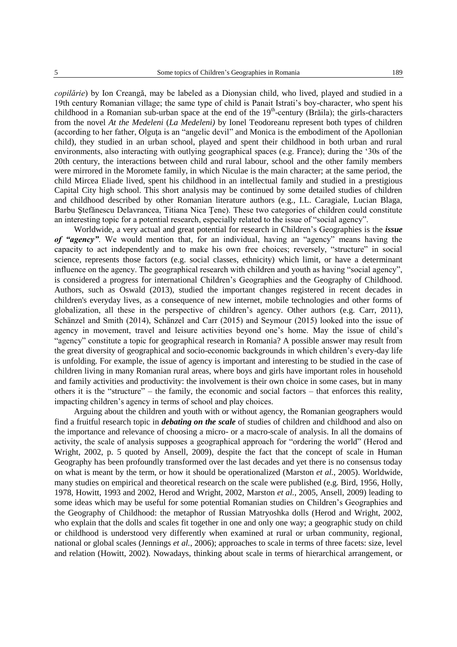*copilărie*) by Ion Creangă, may be labeled as a Dionysian child, who lived, played and studied in a 19th century Romanian village; the same type of child is Panait Istrati's boy-character, who spent his childhood in a Romanian sub-urban space at the end of the 19<sup>th</sup>-century (Brăila); the girls-characters from the novel *At the Medeleni* (*La Medeleni)* by Ionel Teodoreanu represent both types of children (according to her father, Olguta is an "angelic devil" and Monica is the embodiment of the Apollonian child), they studied in an urban school, played and spent their childhood in both urban and rural environments, also interacting with outlying geographical spaces (e.g. France); during the '30s of the 20th century, the interactions between child and rural labour, school and the other family members were mirrored in the Moromete family, in which Niculae is the main character; at the same period, the child Mircea Eliade lived, spent his childhood in an intellectual family and studied in a prestigious Capital City high school. This short analysis may be continued by some detailed studies of children and childhood described by other Romanian literature authors (e.g., I.L. Caragiale, Lucian Blaga, Barbu Ştefănescu Delavrancea, Titiana Nica Ţene). These two categories of children could constitute an interesting topic for a potential research, especially related to the issue of "social agency".

Worldwide, a very actual and great potential for research in Children's Geographies is the *issue of "agency"*. We would mention that, for an individual, having an "agency" means having the capacity to act independently and to make his own free choices; reversely, "structure" in social science, represents those factors (e.g. social classes, ethnicity) which limit, or have a determinant influence on the agency. The geographical research with children and youth as having "social agency", is considered a progress for international Children's Geographies and the Geography of Childhood. Authors, such as Oswald (2013), studied the important changes registered in recent decades in children's everyday lives, as a consequence of new internet, mobile technologies and other forms of globalization, all these in the perspective of children's agency. Other authors (e.g. Carr, 2011), Schänzel and Smith (2014), Schänzel and Carr (2015) and Seymour (2015) looked into the issue of agency in movement, travel and leisure activities beyond one's home. May the issue of child's "agency" constitute a topic for geographical research in Romania? A possible answer may result from the great diversity of geographical and socio-economic backgrounds in which children's every-day life is unfolding. For example, the issue of agency is important and interesting to be studied in the case of children living in many Romanian rural areas, where boys and girls have important roles in household and family activities and productivity: the involvement is their own choice in some cases, but in many others it is the "structure" – the family, the economic and social factors – that enforces this reality, impacting children's agency in terms of school and play choices.

Arguing about the children and youth with or without agency, the Romanian geographers would find a fruitful research topic in *debating on the scale* of studies of children and childhood and also on the importance and relevance of choosing a micro- or a macro-scale of analysis. In all the domains of activity, the scale of analysis supposes a geographical approach for "ordering the world" (Herod and Wright, 2002, p. 5 quoted by Ansell, 2009), despite the fact that the concept of scale in Human Geography has been profoundly transformed over the last decades and yet there is no consensus today on what is meant by the term, or how it should be operationalized (Marston *et al.*, 2005). Worldwide, many studies on empirical and theoretical research on the scale were published (e.g. Bird, 1956, Holly, 1978, Howitt, 1993 and 2002, Herod and Wright, 2002, Marston *et al.*, 2005, Ansell, 2009) leading to some ideas which may be useful for some potential Romanian studies on Children's Geographies and the Geography of Childhood: the metaphor of Russian Matryoshka dolls (Herod and Wright, 2002, who explain that the dolls and scales fit together in one and only one way; a geographic study on child or childhood is understood very differently when examined at rural or urban community, regional, national or global scales (Jennings *et al.*, 2006); approaches to scale in terms of three facets: size, level and relation (Howitt, 2002). Nowadays, thinking about scale in terms of hierarchical arrangement, or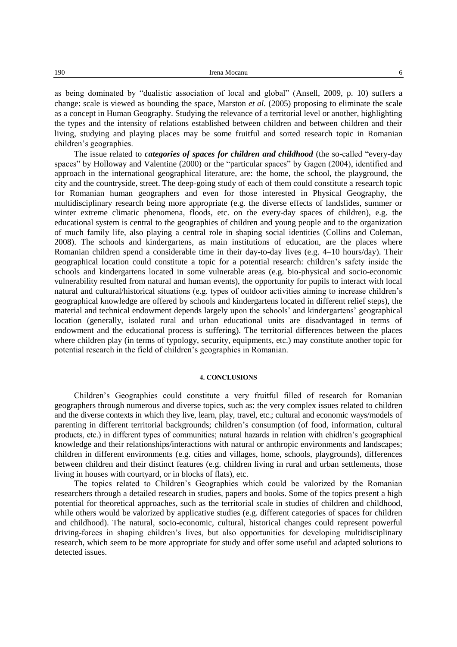as being dominated by "dualistic association of local and global" (Ansell, 2009, p. 10) suffers a change: scale is viewed as bounding the space, Marston *et al.* (2005) proposing to eliminate the scale as a concept in Human Geography. Studying the relevance of a territorial level or another, highlighting the types and the intensity of relations established between children and between children and their living, studying and playing places may be some fruitful and sorted research topic in Romanian children's geographies.

The issue related to *categories of spaces for children and childhood* (the so-called "every-day spaces" by Holloway and Valentine (2000) or the "particular spaces" by Gagen (2004), identified and approach in the international geographical literature, are: the home, the school, the playground, the city and the countryside, street. The deep-going study of each of them could constitute a research topic for Romanian human geographers and even for those interested in Physical Geography, the multidisciplinary research being more appropriate (e.g. the diverse effects of landslides, summer or winter extreme climatic phenomena, floods, etc. on the every-day spaces of children), e.g. the educational system is central to the geographies of children and young people and to the organization of much family life, also playing a central role in shaping social identities (Collins and Coleman, 2008). The schools and kindergartens, as main institutions of education, are the places where Romanian children spend a considerable time in their day-to-day lives (e.g. 4–10 hours/day). Their geographical location could constitute a topic for a potential research: children's safety inside the schools and kindergartens located in some vulnerable areas (e.g. bio-physical and socio-economic vulnerability resulted from natural and human events), the opportunity for pupils to interact with local natural and cultural/historical situations (e.g. types of outdoor activities aiming to increase children's geographical knowledge are offered by schools and kindergartens located in different relief steps), the material and technical endowment depends largely upon the schools' and kindergartens' geographical location (generally, isolated rural and urban educational units are disadvantaged in terms of endowment and the educational process is suffering). The territorial differences between the places where children play (in terms of typology, security, equipments, etc.) may constitute another topic for potential research in the field of children's geographies in Romanian.

#### **4. CONCLUSIONS**

Children's Geographies could constitute a very fruitful filled of research for Romanian geographers through numerous and diverse topics, such as: the very complex issues related to children and the diverse contexts in which they live, learn, play, travel, etc.; cultural and economic ways/models of parenting in different territorial backgrounds; children's consumption (of food, information, cultural products, etc.) in different types of communities; natural hazards in relation with chidlren's geographical knowledge and their relationships/interactions with natural or anthropic environments and landscapes; children in different environments (e.g. cities and villages, home, schools, playgrounds), differences between children and their distinct features (e.g. children living in rural and urban settlements, those living in houses with courtyard, or in blocks of flats), etc.

The topics related to Children's Geographies which could be valorized by the Romanian researchers through a detailed research in studies, papers and books. Some of the topics present a high potential for theoretical approaches, such as the territorial scale in studies of children and childhood, while others would be valorized by applicative studies (e.g. different categories of spaces for children and childhood). The natural, socio-economic, cultural, historical changes could represent powerful driving-forces in shaping children's lives, but also opportunities for developing multidisciplinary research, which seem to be more appropriate for study and offer some useful and adapted solutions to detected issues.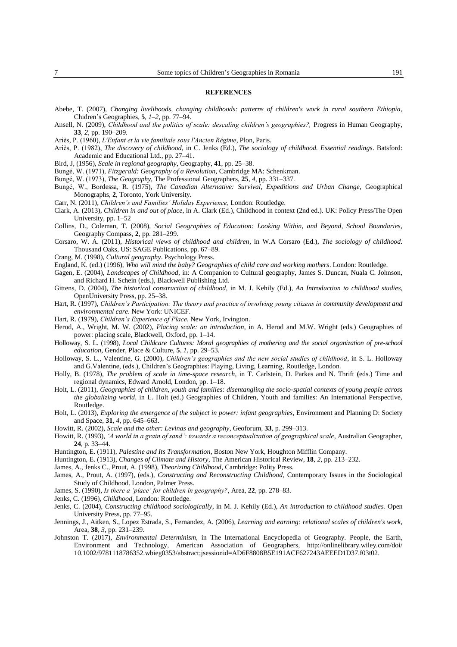#### **REFERENCES**

- Abebe, T. (2007), *Changing livelihoods, changing childhoods: patterns of children's work in rural southern Ethiopia*, Chidren's Geographies, **5**, *1*–*2*, pp. 77–94.
- Ansell, N. (2009), *Childhood and the politics of scale: descaling children's geographies?,* Progress in Human Geography, **33**, *2*, pp. 190–209.
- Ariès, P. (1960), *L'Enfant et la vie familiale sous l'Ancien Régime*, Plon, Paris.
- Ariès, P. (1982), *The discovery of childhood*, in C. Jenks (Ed.), *The sociology of childhood. Essential readings*. Batsford: Academic and Educational Ltd., pp. 27–41.
- Bird, J, (1956), *Scale in regional geography*, Geography, **41**, pp. 25–38.

Bungé, W. (1971), *Fitzgerald: Geography of a Revolution,* Cambridge MA: Schenkman.

- Bungé, W. (1973), *The Geography*, The Professional Geographers, **25**, *4*, pp. 331–337.
- Bungé, W., Bordessa, R. (1975), *The Canadian Alternative: Survival, Expeditions and Urban Change,* Geographical Monographs, **2**, Toronto, York University.
- Carr, N. (2011), *Children's and Families' Holiday Experience,* London: Routledge.
- Clark, A. (2013), *Children in and out of place*, in A. Clark (Ed.), Childhood in context (2nd ed.). UK: Policy Press/The Open University, pp. 1–52
- Collins, D., Coleman, T. (2008), *Social Geographies of Education: Looking Within, and Beyond, School Boundaries*, Geography Compass, **2**, pp. 281–299.
- Corsaro, W. A. (2011), *Historical views of childhood and children*, in W.A Corsaro (Ed.), *The sociology of childhood.* Thousand Oaks, US: SAGE Publications, pp. 67–89.
- Crang, M. (1998), *Cultural geography*. Psychology Press.
- England, K. (ed.) (1996), *Who will mind the baby? Geographies of child care and working mothers*. London: Routledge.
- Gagen, E. (2004), *Landscapes of Childhood*, in: A Companion to Cultural geography, James S. Duncan, Nuala C. Johnson, and Richard H. Schein (eds.), Blackwell Publishing Ltd.
- Gittens, D. (2004), *The historical construction of childhood*, in M. J. Kehily (Ed.), *An Introduction to childhood studies*, OpenUniversity Press, pp. 25–38.
- Hart, R. (1997), *Children's Participation: The theory and practice of involving young citizens in community development and environmental care*. New York: UNICEF.
- Hart, R. (1979), *Children's Experience of Place*, New York, Irvington.
- Herod, A., Wright, M. W. (2002), *Placing scale: an introduction*, in A. Herod and M.W. Wright (eds.) Geographies of power: placing scale, Blackwell, Oxford, pp. 1–14.
- Holloway, S. L. (1998), *Local Childcare Cultures: Moral geographies of mothering and the social organization of pre-school education,* Gender, Place & Culture, **5**, *1*, pp. 29–53*.*
- Holloway, S. L., Valentine, G. (2000), *Children's geographies and the new social studies of childhood*, in S. L. Holloway and G.Valentine, (eds.), Children's Geographies: Playing, Living, Learning, Routledge, London.
- Holly, B. (1978), *The problem of scale in time-space research*, in T. Carlstein, D. Parkes and N. Thrift **(**eds.) Time and regional dynamics, Edward Arnold, London, pp. 1–18.
- Holt, L. (2011), *Geographies of children, youth and families: disentangling the socio-spatial contexts of young people across the globalizing world,* in L. Holt (ed.) Geographies of Children, Youth and families: An International Perspective, Routledge.
- Holt, L. (2013), *Exploring the emergence of the subject in power: infant geographies*, Environment and Planning D: Society and Space, **31**, *4*, pp. 645–663.
- Howitt, R. (2002), *Scale and the other: Levinas and geography*, Geoforum, **33**, p. 299–313.
- Howitt, R. (1993), 'A world in a grain of sand': towards a reconceptualization of geographical scale, Australian Geographer, **24**, p. 33–44.
- Huntington, E. (1911), *Palestine and Its Transformation*, Boston New York, Houghton Mifflin Company.
- Huntington, E. (1913), *Changes of Climate and History*, The American Historical Review, **18**, *2*, pp. 213–232.
- James, A., Jenks C., Prout, A. (1998), *Theorizing Childhood*, Cambridge: Polity Press.
- James, A., Prout, A. (1997), (eds.), *Constructing and Reconstructing Childhood*, Contemporary Issues in the Sociological Study of Childhood. London, Palmer Press.
- James, S. (1990), *Is there a 'place' for children in geography?*, Area*,* **22**, pp. 278–83.
- Jenks, C. (1996), *Childhood*, London: Routledge.
- Jenks, C. (2004), *Constructing childhood sociologically*, in M. J. Kehily (Ed.), *An introduction to childhood studies.* Open University Press, pp. 77–95.
- Jennings, J., Aitken, S., Lopez Estrada, S., Fernandez, A. (2006), *Learning and earning: relational scales of children's work*, Area, **38**, *3*, pp. 231–239.
- Johnston T. (2017), *Environmental Determinism*, in The International Encyclopedia of Geography. People, the Earth, Environment and Technology, American Association of Geographers, [http://onlinelibrary.wiley.com/doi/](http://onlinelibrary.wiley.com/doi/10.1002/9781118786352.wbieg0353/abstract;jsessionid=AD6F8808B5E191ACF627243AEEED1D37.f03t02) [10.1002/9781118786352.wbieg0353/abstract;jsessionid=AD6F8808B5E191ACF627243AEEED1D37.f03t02.](http://onlinelibrary.wiley.com/doi/10.1002/9781118786352.wbieg0353/abstract;jsessionid=AD6F8808B5E191ACF627243AEEED1D37.f03t02)